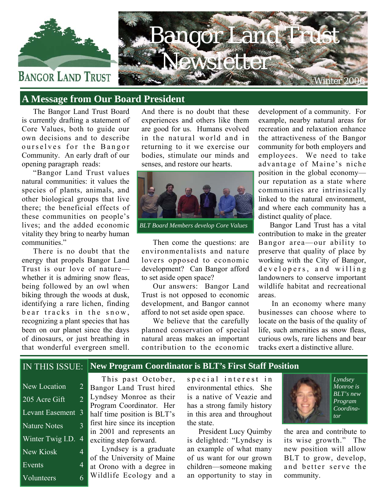

# **A Message from Our Board President**

 The Bangor Land Trust Board is currently drafting a statement of Core Values, both to guide our own decisions and to describe ourselves for the Bangor Community. An early draft of our opening paragraph reads:

 "Bangor Land Trust values natural communities: it values the species of plants, animals, and other biological groups that live there; the beneficial effects of these communities on people's lives; and the added economic vitality they bring to nearby human communities."

 There is no doubt that the energy that propels Bangor Land Trust is our love of nature whether it is admiring snow fleas, being followed by an owl when biking through the woods at dusk, identifying a rare lichen, finding bear tracks in the snow, recognizing a plant species that has been on our planet since the days of dinosaurs, or just breathing in that wonderful evergreen smell.

And there is no doubt that these experiences and others like them are good for us. Humans evolved in the natural world and in returning to it we exercise our bodies, stimulate our minds and senses, and restore our hearts.



*BLT Board Members develop Core Values* 

 Then come the questions: are environmentalists and nature lovers opposed to economic development? Can Bangor afford to set aside open space?

 Our answers: Bangor Land Trust is not opposed to economic development, and Bangor cannot afford to not set aside open space.

 We believe that the carefully planned conservation of special natural areas makes an important contribution to the economic

development of a community. For example, nearby natural areas for recreation and relaxation enhance the attractiveness of the Bangor community for both employers and employees. We need to take advantage of Maine's niche position in the global economy our reputation as a state where communities are intrinsically linked to the natural environment, and where each community has a distinct quality of place.

 Bangor Land Trust has a vital contribution to make in the greater Bangor area—our ability to preserve that quality of place by working with the City of Bangor, developers, and willing landowners to conserve important wildlife habitat and recreational areas.

 In an economy where many businesses can choose where to locate on the basis of the quality of life, such amenities as snow fleas, curious owls, rare lichens and bear tracks exert a distinctive allure.

#### IN THIS ISSUE: **New Program Coordinator is BLT's First Staff Position**

| <b>New Location</b> | 2 |
|---------------------|---|
| 205 Acre Gift       | 2 |
| Levant Easement     | 3 |
| <b>Nature Notes</b> | 3 |
| Winter Twig I.D.    | 4 |
| New Kiosk           | 4 |
| Events              | 4 |
| Volunteers          |   |

 This past October, Bangor Land Trust hired Lyndsey Monroe as their Program Coordinator. Her half time position is BLT's first hire since its inception in 2001 and represents an exciting step forward.

 Lyndsey is a graduate of the University of Maine at Orono with a degree in Wildlife Ecology and a

special interest in environmental ethics. She is a native of Veazie and has a strong family history in this area and throughout the state.

 President Lucy Quimby is delighted: "Lyndsey is an example of what many of us want for our grown children—someone making an opportunity to stay in



*Monroe is BLT's new Program Coordinator* 

the area and contribute to its wise growth." The new position will allow BLT to grow, develop, and better serve the community.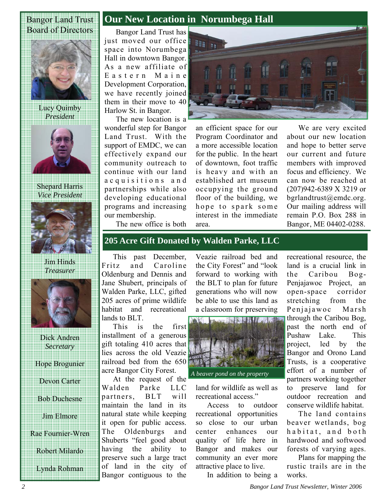

Lucy Quimby *President* 



Shepard Harris *Vice President* 



Jim Hinds *Treasurer* 



Dick Andren *Secretary*  Hope Brogunier Devon Carter Bob Duchesne Jim Elmore Rae Fournier-Wren

Robert Milardo

Lynda Rohman

**Our New Location in Norumbega Hall** 

 Bangor Land Trust has just moved our office space into Norumbega Hall in downtown Bangor. As a new affiliate of E a s t e r n M a i n e Development Corporation, we have recently joined them in their move to 40 Harlow St. in Bangor.

 The new location is a wonderful step for Bangor Land Trust. With the support of EMDC, we can effectively expand our community outreach to continue with our land a c quisitions and partnerships while also developing educational programs and increasing our membership.



an efficient space for our Program Coordinator and a more accessible location for the public. In the heart of downtown, foot traffic is heavy and with an established art museum occupying the ground floor of the building, we hope to spark some interest in the immediate area.

 We are very excited about our new location and hope to better serve our current and future members with improved focus and efficiency. We can now be reached at (207)942-6389 X 3219 or bgrlandtrust@emdc.org. Our mailing address will remain P.O. Box 288 in Bangor , ME 04402-0288.

The new office is both

### **205 Acre Gift Donated by Walden Parke, LLC**

 This past December, Fritz and Caroline Oldenburg and Dennis and Jane Shubert, principals of Walden Parke, LLC, gifted 205 acres of prime wildlife habitat and recreational lands to BLT.

 This is the first installment of a generous gift totaling 410 acres that lies across the old Veazie railroad bed from the 650 acre Bangor City Forest.

 At the request of the Walden Parke LLC partners, BLT will maintain the land in its natural state while keeping it open for public access. The Oldenburgs and Shuberts "feel good about having the ability to preserve such a large tract of land in the city of Bangor contiguous to the

Veazie railroad bed and the City Forest" and "look forward to working with the BLT to plan for future generations who will now be able to use this land as a classroom for preserving



*A beaver pond on the property* 

land for wildlife as well as recreational access."

 Access to outdoor recreational opportunities so close to our urban center enhances our quality of life here in Bangor and makes our community an ever more attractive place to live.

In addition to being a

recreational resource, the land is a crucial link in the Caribou Bog-Penjajawoc Project, an open-space corridor stretching from the Penjajawoc Marsh through the Caribou Bog, past the north end of Pushaw Lake. This project, led by the Bangor and Orono Land Trusts, is a cooperative effort of a number of partners working together to preserve land for outdoor recreation and conserve wildlife habitat.

 The land contains beaver wetlands, bog habitat, and both hardwood and softwood forests of varying ages.

 Plans for mapping the rustic trails are in the works.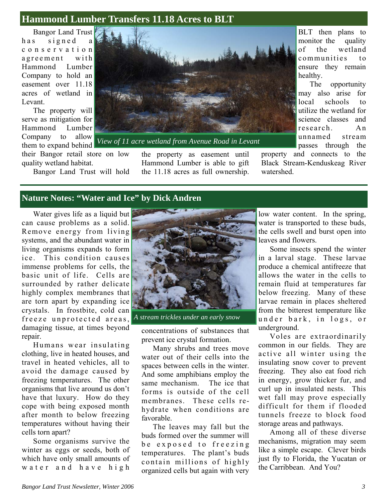# **Hammond Lumber Transfers 11.18 Acres to BLT**

 Bangor Land Trust has signed a c o n s e r v a t i o n a g r e e m e n t with Hammond Lumber Company to hold an easement over 11.18 acres of wetland in Levant.

The property will serve as mitigation for Hammond Lumber Company to allow them to expand behind

their Bangor retail store on low quality wetland habitat.

Bangor Land Trust will hold



*View of 11 acre wetland from Avenue Road in Levant* 

the property as easement until Hammond Lumber is able to gift the 11.18 acres as full ownership.

BLT then plans to monitor the quality<br>of the wetland the wetland communities to ensure they remain healthy.

 The opportunity may also arise for local schools to utilize the wetland for science classes and research. An unnamed stream passes through the

property and connects to the Black Stream-Kenduskeag River watershed.

#### **Nature Notes: "Water and Ice" by Dick Andren**

Water gives life as a liquid but can cause problems as a solid. Remove energy from living systems, and the abundant water in living organisms expands to form ice. This condition causes immense problems for cells, the basic unit of life. Cells are surrounded by rather delicate highly complex membranes that are torn apart by expanding ice crystals. In frostbite, cold can freeze unprotected areas, A stream trickles under an early snow damaging tissue, at times beyond repair.

Humans wear insulating clothing, live in heated houses, and travel in heated vehicles, all to avoid the damage caused by freezing temperatures. The other organisms that live around us don't have that luxury. How do they cope with being exposed month after month to below freezing temperatures without having their cells torn apart?

 Some organisms survive the winter as eggs or seeds, both of which have only small amounts of water and have high



concentrations of substances that prevent ice crystal formation.

 Many shrubs and trees move water out of their cells into the spaces between cells in the winter. And some amphibians employ the same mechanism. The ice that forms is outside of the cell membranes. These cells rehydrate when conditions are favorable.

 The leaves may fall but the buds formed over the summer will be exposed to freezing temperatures. The plant's buds contain millions of highly organized cells but again with very

low water content. In the spring, water is transported to these buds, the cells swell and burst open into leaves and flowers.

 Some insects spend the winter in a larval stage. These larvae produce a chemical antifreeze that allows the water in the cells to remain fluid at temperatures far below freezing. Many of these larvae remain in places sheltered from the bitterest temperature like under bark, in logs, or underground.

 Voles are extraordinarily common in our fields. They are active all winter using the insulating snow cover to prevent freezing. They also eat food rich in energy, grow thicker fur, and curl up in insulated nests. This wet fall may prove especially difficult for them if flooded tunnels freeze to block food storage areas and pathways.

 Among all of these diverse mechanisms, migration may seem like a simple escape. Clever birds just fly to Florida, the Yucatan or the Carribbean. And You?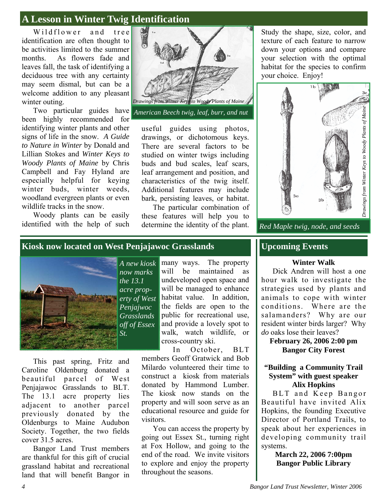# **A Lesson in Winter Twig Identification**

Wildflower and tree identification are often thought to be activities limited to the summer months. As flowers fade and leaves fall, the task of identifying a deciduous tree with any certainty may seem dismal, but can be a welcome addition to any pleasant winter outing.

 Two particular guides have *American Beech twig, leaf, burr, and nut*  been highly recommended for identifying winter plants and other signs of life in the snow. *A Guide to Nature in Winter* by Donald and Lillian Stokes and *Winter Keys to Woody Plants of Maine* by Chris Campbell and Fay Hyland are especially helpful for keying winter buds, winter weeds, woodland evergreen plants or even wildlife tracks in the snow.

 Woody plants can be easily identified with the help of such



useful guides using photos, drawings, or dichotomous keys. There are several factors to be studied on winter twigs including buds and bud scales, leaf scars, leaf arrangement and position, and characteristics of the twig itself. Additional features may include bark, persisting leaves, or habitat.

 The particular combination of these features will help you to determine the identity of the plant. Study the shape, size, color, and texture of each feature to narrow down your options and compare your selection with the optimal habitat for the species to confirm your choice. Enjoy!



*Red Maple twig, node, and seeds* 

#### **Kiosk now located on West Penjajawoc Grasslands**



 This past spring, Fritz and Caroline Oldenburg donated a beautiful parcel of West Penjajawoc Grasslands to BLT. The 13.1 acre property lies adjacent to another parcel previously donated by the Oldenburgs to Maine Audubon Society. Together, the two fields cover 31.5 acres.

 Bangor Land Trust members are thankful for this gift of crucial grassland habitat and recreational land that will benefit Bangor in many ways. The property will be maintained as undeveloped open space and will be managed to enhance habitat value. In addition, the fields are open to the public for recreational use, and provide a lovely spot to walk, watch wildlife, or cross-country ski.

 In October, BLT members Geoff Gratwick and Bob Milardo volunteered their time to construct a kiosk from materials donated by Hammond Lumber. The kiosk now stands on the property and will soon serve as an educational resource and guide for visitors.

 You can access the property by going out Essex St., turning right at Fox Hollow, and going to the end of the road. We invite visitors to explore and enjoy the property throughout the seasons.

## **Upcoming Events**

#### **Winter Walk**

 Dick Andren will host a one hour walk to investigate the strategies used by plants and animals to cope with winter conditions. Where are the salamanders? Why are our resident winter birds larger? Why *do* oaks lose their leaves?

#### **February 26, 2006 2:00 pm Bangor City Forest**

#### **"Building a Community Trail System" with guest speaker Alix Hopkins**

BLT and Keep Bangor Beautiful have invited Alix Hopkins, the founding Executive Director of Portland Trails, to speak about her experiences in developing community trail systems.

> **March 22, 2006 7:00pm Bangor Public Library**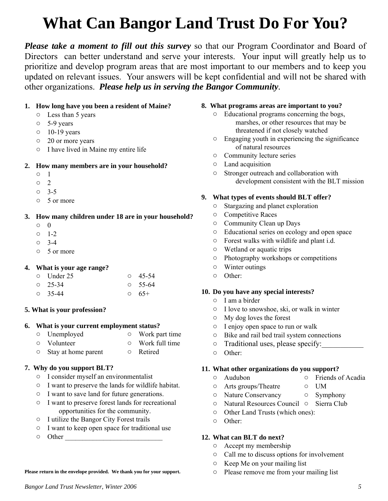# **What Can Bangor Land Trust Do For You?**

*Please take a moment to fill out this survey* so that our Program Coordinator and Board of Directors can better understand and serve your interests. Your input will greatly help us to prioritize and develop program areas that are most important to our members and to keep you updated on relevant issues. Your answers will be kept confidential and will not be shared with other organizations. *Please help us in serving the Bangor Community.* 

#### **1. How long have you been a resident of Maine?**

- Less than 5 years
- 5-9 years
- 10-19 years
- 20 or more years
- I have lived in Maine my entire life

#### **2. How many members are in your household?**

- 1
- 2
- 3-5
- 5 or more

#### **3. How many children under 18 are in your household?**

- $\circ$  0
- $\circ$  1-2
- $0 \t3-4$
- 5 or more

#### **4. What is your age range?**

| $\circ$ Under 25 | $\circ$ 45-54 |
|------------------|---------------|
| $\circ$ 25-34    | $\circ$ 55-64 |
| $\circ$ 35-44    | $\circ$ 65+   |

#### **5. What is your profession?**

#### **6. What is your current employment status?**

- Unemployed Work part time
- Volunteer Work full time
- Stay at home parent Retired

#### **7. Why do you support BLT?**

- I consider myself an environmentalist
- I want to preserve the lands for wildlife habitat.
- I want to save land for future generations.
- I want to preserve forest lands for recreational opportunities for the community.
- I utilize the Bangor City Forest trails
- I want to keep open space for traditional use
- $\circ$  Other

#### **Please return in the envelope provided. We thank you for your support.**

### **8. What programs areas are important to you?**

- Educational programs concerning the bogs, marshes, or other resources that may be threatened if not closely watched
- Engaging youth in experiencing the significance of natural resources
- Community lecture series
- Land acquisition
- Stronger outreach and collaboration with development consistent with the BLT mission

#### **9. What types of events should BLT offer?**

- Stargazing and planet exploration
- Competitive Races
- Community Clean up Days
- Educational series on ecology and open space
- Forest walks with wildlife and plant i.d.
- Wetland or aquatic trips
- Photography workshops or competitions
- Winter outings
- Other:

#### **10. Do you have any special interests?**

- I am a birder
- I love to snowshoe, ski, or walk in winter
- My dog loves the forest
- I enjoy open space to run or walk
- Bike and rail bed trail system connections
- Traditional uses, please specify:\_\_\_\_\_\_\_\_\_\_\_
- Other:

#### **11. What other organizations do you support?**

- Audubon Friends of Acadia
- Arts groups/Theatre UM
- Nature Conservancy Symphony
- Natural Resources Council Sierra Club
- Other Land Trusts (which ones):
- Other:

#### **12. What can BLT do next?**

- Accept my membership
- Call me to discuss options for involvement
- Keep Me on your mailing list
- Please remove me from your mailing list